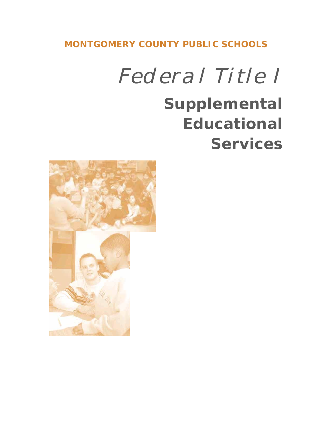**MONTGOMERY COUNTY PUBLIC SCHOOLS**

*Federal Title I*

# **Supplemental Educational Services**

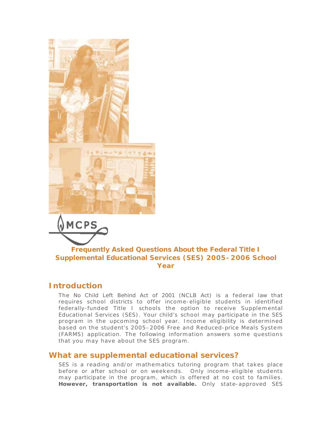



#### **Frequently Asked Questions About the Federal Title I Supplemental Educational Services (SES) 2005–2006 School Year**

#### *Introduction*

The *No Child Left Behind Act of 2001* (NCLB Act) is a federal law that requires school districts to offer income-eligible students in identified federally-funded Title I schools the option to receive Supplemental Educational Services (SES). Your child's school may participate in the SES program in the upcoming school year. Income eligibility is determined based on the student's 2005–2006 Free and Reduced-price Meals System (FARMS) application. The following information answers some questions that you may have about the SES program.

# *What are supplemental educational services?*

SES is a reading and/or mathematics tutoring program that takes place before or after school or on weekends. Only income-eligible students may participate in the program, which is offered at no cost to families. **However, transportation is not available.** Only state-approved SES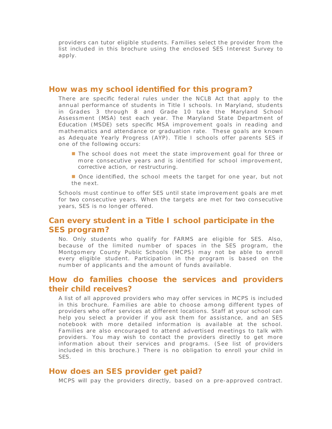providers can tutor eligible students. Families select the provider from the list included in this brochure using the enclosed SES Interest Survey to apply.

#### *How was my school identified for this program?*

There are specific federal rules under the NCLB Act that apply to the annual performance of students in Title I schools. In Maryland, students in Grades 3 through 8 and Grade 10 take the Maryland School Assessment (MSA) test each year. The Maryland State Department of Education (MSDE) sets specific MSA improvement goals in reading and m athematics and attendance or graduation rate. These goals are known a s Adequate Yearly Progress (AYP). Title I schools offer parents SES if one of the following occurs:

- **The school does not meet the state improvement goal for three or** more consecutive years and is identified for school improvement, corrective action, or restructuring.
- **Once identified, the school meets the target for one year, but not** the next.

Schools must continue to offer SES until state improvement goals are met for two consecutive years. When the targets are met for two consecutive years, SES is no longer offered.

## *Can every student in a Title I school participate in the SES program?*

No. Only students who qualify for FARMS are eligible for SES. Also, because of the limited number of spaces in the SES program, the Montgom ery County Public Schools (MCPS) may not be able to enroll every eligible student. Participation in the program is based on the number of applicants and the amount of funds available.

## *How do families choose the services and providers their child receives?*

A list of all approved providers who may offer services in MCPS is included in this brochure. Families are able to choose among different types of providers who offer services at different locations. Staff at your school can help you select a provider if you ask them for assistance, and an SES notebook with more detailed information is available at the school. Families are also encouraged to attend advertised meetings to talk with providers. You may wish to contact the providers directly to get more information about their services and programs. (See list of providers included in this brochure.) There is no obligation to enroll your child in SES.

#### *How does an SES provider get paid?*

MCPS will pay the providers directly, based on a pre-approved contract.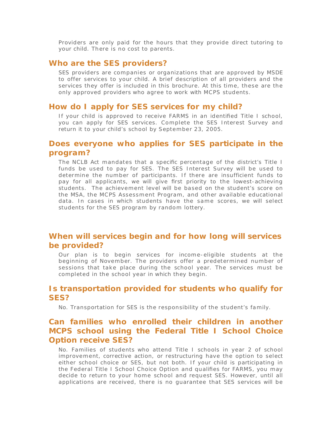Providers are only paid for the hours that they provide direct tutoring to your child. There is no cost to parents.

#### *Who are the SES providers?*

SES providers are companies or organizations that are approved by MSDE to offer services to your child. A brief description of all providers and the services they offer is included in this brochure. At this time, these are the only approved providers who agree to work with MCPS students.

#### *How do I apply for SES services for my child?*

If your child is approved to receive FARMS in an identified Title I school, you can apply for SES services. Complete the SES Interest Survey and return it to your child's school by September 23, 2005.

## *Does everyone who applies for SES participate in the program?*

The NCLB Act mandates that a specific percentage of the district's Title I funds be used to pay for SES. The SES Interest Survey will be used to determine the number of participants. If there are insufficient funds to pay for all applicants, we will give first priority to the lowest-achieving students. The achievement level will be based on the student's score on the MSA, the MCPS Assessment Program, and other available educational data. In cases in which students have the same scores, we will select students for the SES program by random lottery.

## *When will services begin and for how long will services be provided?*

Our plan is to begin services for income-eligible students at the beginning of November. The providers offer a predetermined number of sessions that take place during the school year. The services must be completed in the school year in which they begin.

### *Is transportation provided for students who qualify for SES?*

No. Transportation for SES is the responsibility of the student's family.

## *Can families who enrolled their children in another MCPS school using the Federal Title I School Choice Option receive SES?*

No. Families of students who attend Title I schools in year 2 of school improvem ent, corrective action, or restructuring have the option to select either school choice or SES, but not both. If your child is participating in the Federal Title I School Choice Option and qualifies for FARMS, you may decide to return to your home school and request SES. However, until all applications are received, there is no guarantee that SES services will be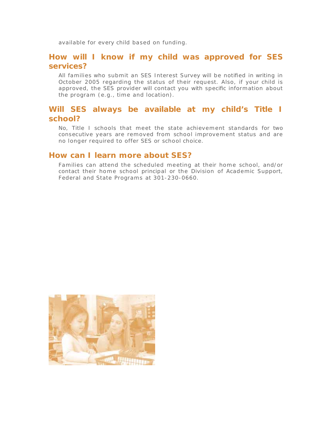available for every child based on funding.

#### *How will I know if my child was approved for SES services?*

All families who submit an SES Interest Survey will be notified in writing in October 2005 regarding the status of their request. Also, if your child is approved, the SES provider will contact you with specific information about the program (e.g., time and location).

## *Will SES always be available at my child's Title I school?*

No, Title I schools that meet the state achievement standards for two consecutive years are removed from school improvem ent status and are no longer required to offer SES or school choice.

#### *How can I learn more about SES?*

Families can attend the scheduled meeting at their home school, and/or contact their home school principal or the Division of Academic Support, Federal and State Programs at 301-230-0660.

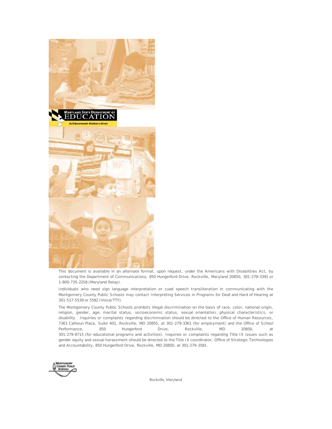

This document is available in an alternate format, upon request, under the Americans with Disabilities Act, by contacting the Department of Communications, 850 Hungerford Drive, Rockville, Maryland 20850, 301-279-3391 or 1-800-735-2258 (Maryland Relay).

Individuals who need sign language interpretation or cued speech transliteration in communicating with the Montgomery County Public Schools may contact Interpreting Services in Programs for Deaf and Hard of Hearing at 301-517-5539 or 5582 (Voice/TTY).

The Montgomery County Public Schools prohibits illegal discrimination on the basis of race, color, national origin, religion, gender, age, marital status, socioeconomic status, sexual orientation, physical characteristics, or disability. Inquiries or complaints regarding discrimination should be directed to the Office of Human Resources, 7361 Calhoun Place, Suite 401, Rockville, MD 20855, at 301-279-3361 (for employment) and the Office of School Performance, 850 Hungerford Drive, Rockville, MD 20850, at 301-279-8715 (for educational programs and activities). Inquiries or complaints regarding Title IX issues such as gender equity and sexual harassment should be directed to the Title IX coordinator, Office of Strategic Technologies and Accountability, 850 Hungerford Drive, Rockville, MD 20850, at 301-279-3581.



Rockville, Maryland